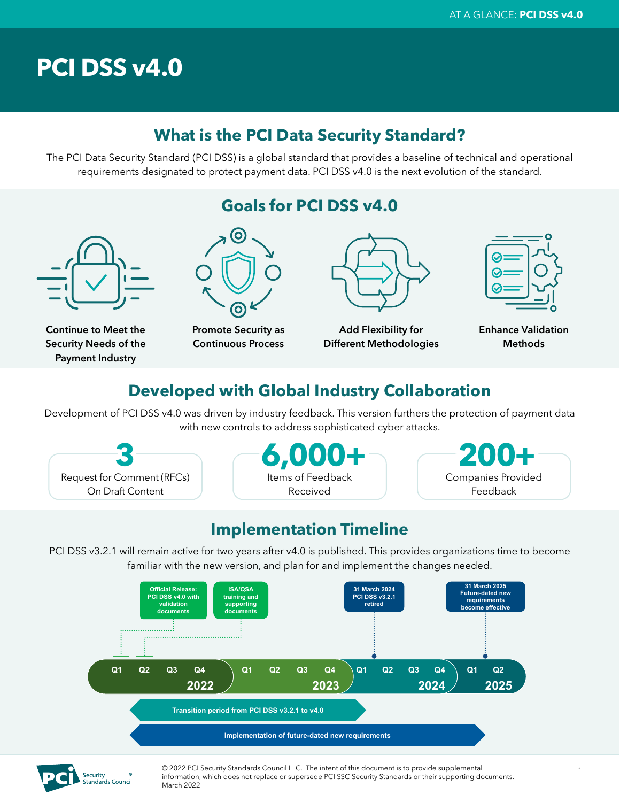# **PCI DSS v4.0**

## **What is the PCI Data Security Standard?**

The PCI Data Security Standard (PCI DSS) is a global standard that provides a baseline of technical and operational requirements designated to protect payment data. PCI DSS v4.0 is the next evolution of the standard.



## **Developed with Global Industry Collaboration**

Development of PCI DSS v4.0 was driven by industry feedback. This version furthers the protection of payment data with new controls to address sophisticated cyber attacks.

Request for Comment (RFCs) On Draft Content





## **Implementation Timeline**

PCI DSS v3.2.1 will remain active for two years after v4.0 is published. This provides organizations time to become familiar with the new version, and plan for and implement the changes needed.





© 2022 PCI Security Standards Council LLC. The intent of this document is to provide supplemental information, which does not replace or supersede PCI SSC Security Standards or their supporting documents. March 2022